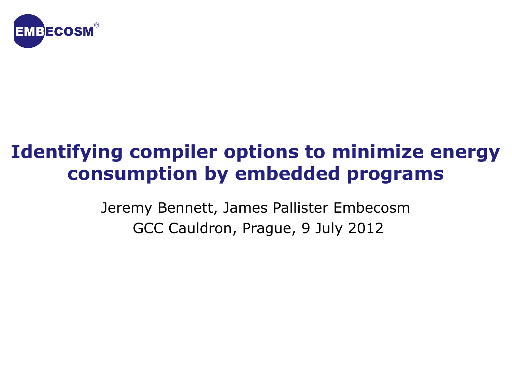

### **Identifying compiler options to minimize energy consumption by embedded programs**

Jeremy Bennett, James Pallister Embecosm GCC Cauldron, Prague, 9 July 2012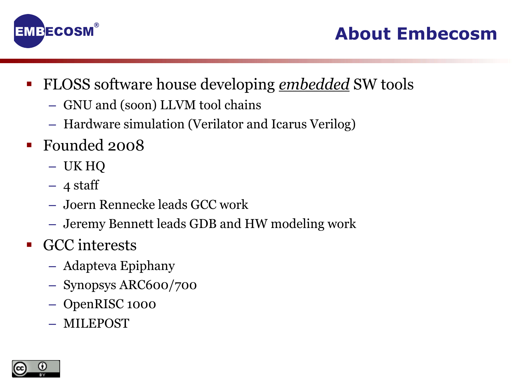

- FLOSS software house developing *embedded* SW tools
	- GNU and (soon) LLVM tool chains
	- Hardware simulation (Verilator and Icarus Verilog)
- Founded 2008
	- UK HQ
	- $-4$  staff
	- Joern Rennecke leads GCC work
	- Jeremy Bennett leads GDB and HW modeling work
- **GCC** interests
	- Adapteva Epiphany
	- Synopsys ARC600/700
	- OpenRISC 1000
	- MILEPOST

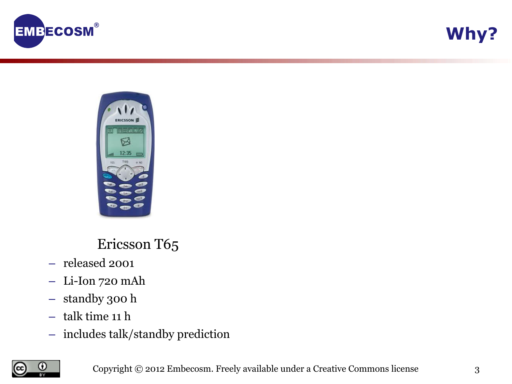





Ericsson T65

- released 2001
- Li-Ion 720 mAh
- standby 300 h
- talk time 11 h
- includes talk/standby prediction

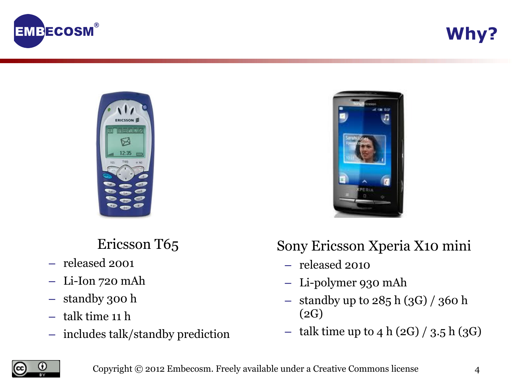

**Why?**



Ericsson T65

- released 2001
- Li-Ion 720 mAh
- standby 300 h
- talk time 11 h
- includes talk/standby prediction



### Sony Ericsson Xperia X10 mini

- released 2010
- Li-polymer 930 mAh
- standby up to  $285 h (3G) / 360 h$ (2G)
- talk time up to 4 h  $(2G) / 3.5$  h  $(3G)$

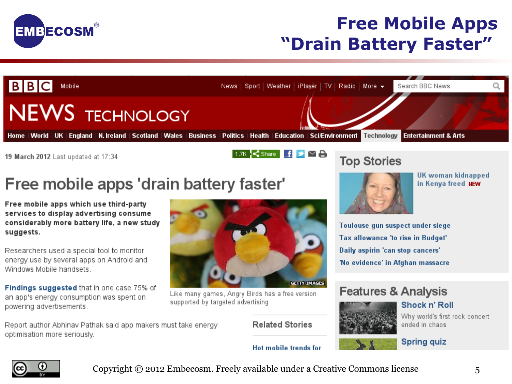

### **Free Mobile Apps "Drain Battery Faster"**



19 March 2012 Last updated at 17:34

## Free mobile apps 'drain battery faster'

Free mobile apps which use third-party services to display advertising consume considerably more battery life, a new study suggests.

Researchers used a special tool to monitor energy use by several apps on Android and Windows Mobile handsets

Findings suggested that in one case 75% of an app's energy consumption was spent on powering advertisements.

Report author Abhinav Pathak said app makers must take energy optimisation more seriously.



Like many games, Angry Birds has a free version supported by targeted advertising

**Related Stories** 

#### **Top Stories**



UK woman kidnapped in Kenya freed NEW

Toulouse qun suspect under siege Tax allowance 'to rise in Budget' Daily aspirin 'can stop cancers' 'No evidence' in Afghan massacre

### **Features & Analysis**



Shock n' Roll

**Spring quiz** 

Why world's first rock concert ended in chaos

#### Hot mobile trends for

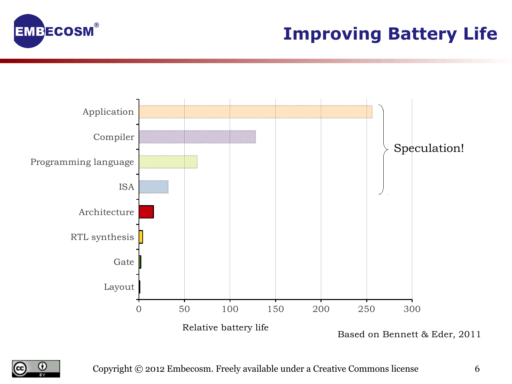

### **Improving Battery Life**



Based on Bennett & Eder, 2011

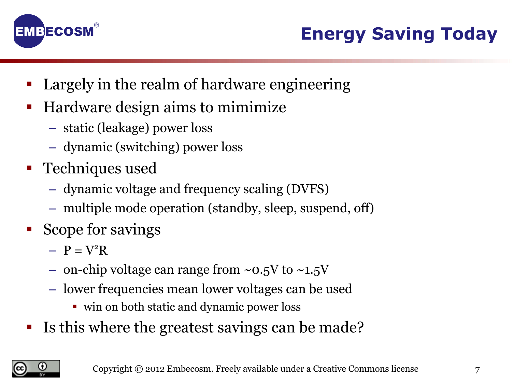

- Largely in the realm of hardware engineering
- Hardware design aims to mimimize
	- static (leakage) power loss
	- dynamic (switching) power loss
- **Techniques used** 
	- dynamic voltage and frequency scaling (DVFS)
	- multiple mode operation (standby, sleep, suspend, off)
- Scope for savings
	- $P = V^2R$
	- on-chip voltage can range from  $\sim$ 0.5V to  $\sim$ 1.5V
	- lower frequencies mean lower voltages can be used
		- win on both static and dynamic power loss
- Is this where the greatest savings can be made?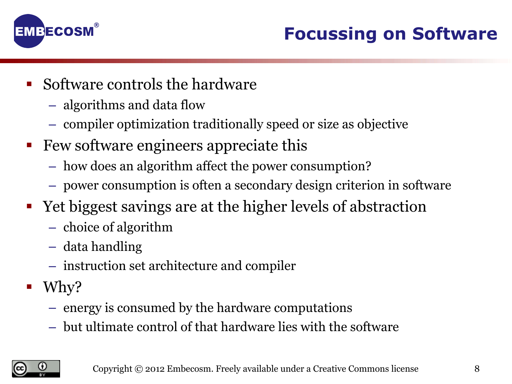

- Software controls the hardware
	- algorithms and data flow
	- compiler optimization traditionally speed or size as objective
- Few software engineers appreciate this
	- how does an algorithm affect the power consumption?
	- power consumption is often a secondary design criterion in software
- Yet biggest savings are at the higher levels of abstraction
	- choice of algorithm
	- data handling
	- instruction set architecture and compiler
- $\blacksquare$  Why?
	- energy is consumed by the hardware computations
	- but ultimate control of that hardware lies with the software

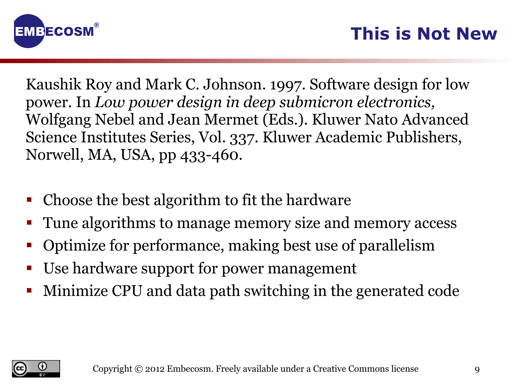

Kaushik Roy and Mark C. Johnson. 1997. Software design for low power. In *Low power design in deep submicron electronics,* Wolfgang Nebel and Jean Mermet (Eds.). Kluwer Nato Advanced Science Institutes Series, Vol. 337. Kluwer Academic Publishers, Norwell, MA, USA, pp 433-460.

- Choose the best algorithm to fit the hardware
- Tune algorithms to manage memory size and memory access
- Optimize for performance, making best use of parallelism
- Use hardware support for power management
- Minimize CPU and data path switching in the generated code

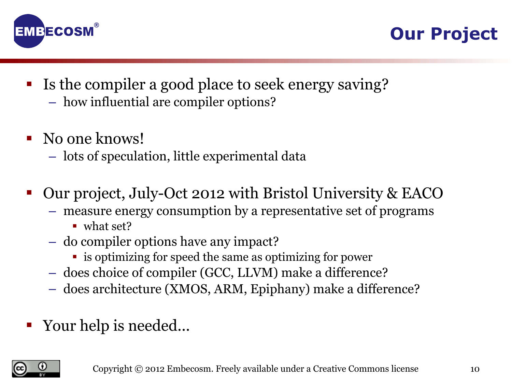



- Is the compiler a good place to seek energy saving?
	- how influential are compiler options?
- No one knows!
	- lots of speculation, little experimental data
- Our project, July-Oct 2012 with Bristol University & EACO
	- measure energy consumption by a representative set of programs
		- what set?
	- do compiler options have any impact?
		- is optimizing for speed the same as optimizing for power
	- does choice of compiler (GCC, LLVM) make a difference?
	- does architecture (XMOS, ARM, Epiphany) make a difference?
- Your help is needed...

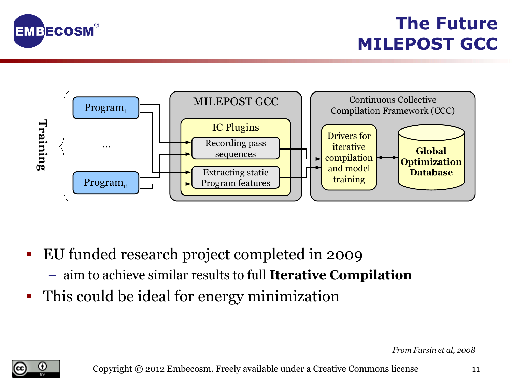

**The Future MILEPOST GCC**



- EU funded research project completed in 2009
	- aim to achieve similar results to full **Iterative Compilation**
- This could be ideal for energy minimization

*From Fursin et al, 2008* 

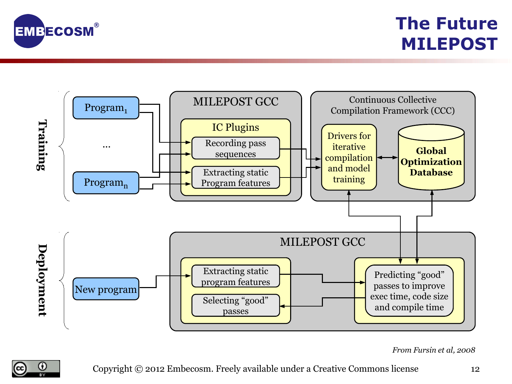

### **The Future MILEPOST**



*From Fursin et al, 2008*